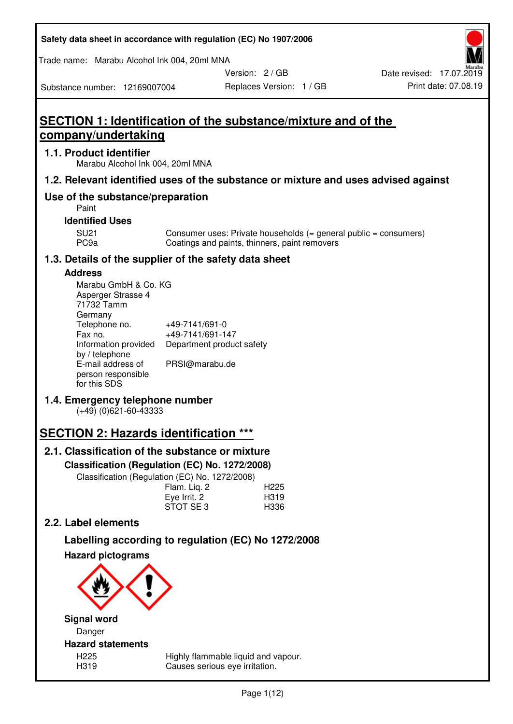| Safety data sheet in accordance with regulation (EC) No 1907/2006 |  |
|-------------------------------------------------------------------|--|
|-------------------------------------------------------------------|--|

Trade name: Marabu Alcohol Ink 004, 20ml MNA

Version: 2 / GB

Replaces Version: 1 / GB Print date: 07.08.19 Date revised: 17.07.2019

Substance number: 12169007004

# **SECTION 1: Identification of the substance/mixture and of the company/undertaking**

## **1.1. Product identifier**

Marabu Alcohol Ink 004, 20ml MNA

# **1.2. Relevant identified uses of the substance or mixture and uses advised against**

# **Use of the substance/preparation**

Paint

## **Identified Uses**

SU21 Consumer uses: Private households (= general public = consumers)<br>PC9a Coatings and paints, thinners, paint removers Coatings and paints, thinners, paint removers

# **1.3. Details of the supplier of the safety data sheet**

# **Address**

| Marabu GmbH & Co. KG |                           |
|----------------------|---------------------------|
| Asperger Strasse 4   |                           |
| 71732 Tamm           |                           |
| Germany              |                           |
| Telephone no.        | +49-7141/691-0            |
| Fax no.              | +49-7141/691-147          |
| Information provided | Department product safety |
| by / telephone       |                           |
| E-mail address of    | PRSI@marabu.de            |
| person responsible   |                           |
| for this SDS         |                           |

# **1.4. Emergency telephone number**

(+49) (0)621-60-43333

# **SECTION 2: Hazards identification \*\*\***

# **2.1. Classification of the substance or mixture**

**Classification (Regulation (EC) No. 1272/2008)** 

Classification (Regulation (EC) No. 1272/2008)

|              | . |                  |
|--------------|---|------------------|
| Flam. Liq. 2 |   | H <sub>225</sub> |
| Eye Irrit. 2 |   | H319             |
| STOT SE3     |   | H336             |
|              |   |                  |

# **2.2. Label elements**

# **Labelling according to regulation (EC) No 1272/2008**



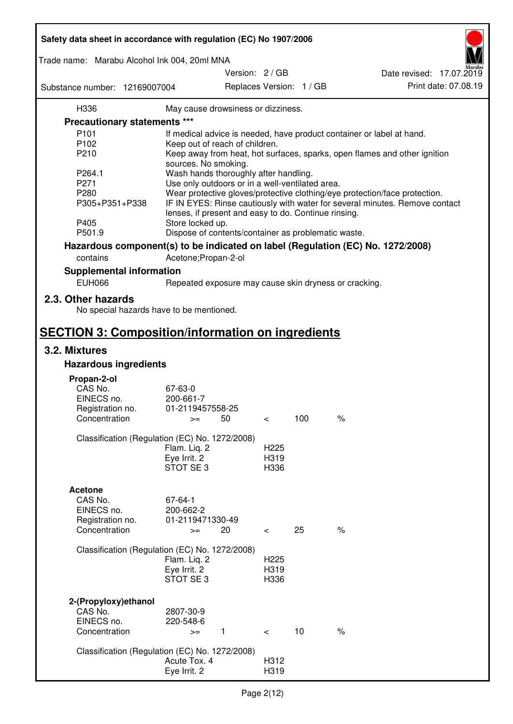| Safety data sheet in accordance with regulation (EC) No 1907/2006 |                                                       |                          |     |                                                                                 |
|-------------------------------------------------------------------|-------------------------------------------------------|--------------------------|-----|---------------------------------------------------------------------------------|
| Trade name: Marabu Alcohol Ink 004, 20ml MNA                      |                                                       |                          |     |                                                                                 |
|                                                                   |                                                       | Version: 2 / GB          |     | Date revised: 17.07.2019                                                        |
| Substance number: 12169007004                                     |                                                       | Replaces Version: 1 / GB |     | Print date: 07.08.19                                                            |
| H336                                                              | May cause drowsiness or dizziness.                    |                          |     |                                                                                 |
| Precautionary statements ***                                      |                                                       |                          |     |                                                                                 |
| P <sub>101</sub>                                                  |                                                       |                          |     | If medical advice is needed, have product container or label at hand.           |
| P102                                                              | Keep out of reach of children.                        |                          |     |                                                                                 |
| P210                                                              |                                                       |                          |     | Keep away from heat, hot surfaces, sparks, open flames and other ignition       |
|                                                                   | sources. No smoking.                                  |                          |     |                                                                                 |
| P264.1                                                            | Wash hands thoroughly after handling.                 |                          |     |                                                                                 |
| P271                                                              | Use only outdoors or in a well-ventilated area.       |                          |     |                                                                                 |
| P280                                                              |                                                       |                          |     | Wear protective gloves/protective clothing/eye protection/face protection.      |
| P305+P351+P338                                                    | lenses, if present and easy to do. Continue rinsing.  |                          |     | IF IN EYES: Rinse cautiously with water for several minutes. Remove contact     |
| P405                                                              | Store locked up.                                      |                          |     |                                                                                 |
| P501.9                                                            | Dispose of contents/container as problematic waste.   |                          |     |                                                                                 |
|                                                                   |                                                       |                          |     | Hazardous component(s) to be indicated on label (Regulation (EC) No. 1272/2008) |
| contains                                                          | Acetone; Propan-2-ol                                  |                          |     |                                                                                 |
| <b>Supplemental information</b>                                   |                                                       |                          |     |                                                                                 |
| <b>EUH066</b>                                                     | Repeated exposure may cause skin dryness or cracking. |                          |     |                                                                                 |
| 2.3. Other hazards<br>No special hazards have to be mentioned.    |                                                       |                          |     |                                                                                 |
| <b>SECTION 3: Composition/information on ingredients</b>          |                                                       |                          |     |                                                                                 |
| 3.2. Mixtures                                                     |                                                       |                          |     |                                                                                 |
| <b>Hazardous ingredients</b>                                      |                                                       |                          |     |                                                                                 |
|                                                                   |                                                       |                          |     |                                                                                 |
| Propan-2-ol<br>CAS No.                                            | 67-63-0                                               |                          |     |                                                                                 |
| EINECS no.                                                        | 200-661-7                                             |                          |     |                                                                                 |
| Registration no.                                                  | 01-2119457558-25                                      |                          |     |                                                                                 |
| Concentration                                                     | 50<br>$>=$                                            | $\,<\,$                  | 100 | $\%$                                                                            |
|                                                                   |                                                       |                          |     |                                                                                 |
|                                                                   | Classification (Regulation (EC) No. 1272/2008)        |                          |     |                                                                                 |
|                                                                   | Flam. Liq. 2                                          | H <sub>225</sub>         |     |                                                                                 |
|                                                                   | Eye Irrit. 2                                          | H319                     |     |                                                                                 |
|                                                                   | STOT SE3                                              | H336                     |     |                                                                                 |
|                                                                   |                                                       |                          |     |                                                                                 |
| <b>Acetone</b>                                                    |                                                       |                          |     |                                                                                 |
| CAS No.                                                           | 67-64-1                                               |                          |     |                                                                                 |
| EINECS no.                                                        | 200-662-2<br>01-2119471330-49                         |                          |     |                                                                                 |
| Registration no.<br>Concentration                                 | 20<br>$>=$                                            | $\overline{\phantom{0}}$ | 25  | $\%$                                                                            |
|                                                                   |                                                       |                          |     |                                                                                 |
|                                                                   | Classification (Regulation (EC) No. 1272/2008)        |                          |     |                                                                                 |
|                                                                   | Flam. Liq. 2                                          | H <sub>225</sub>         |     |                                                                                 |
|                                                                   | Eye Irrit. 2                                          | H319                     |     |                                                                                 |
|                                                                   | STOT SE3                                              | H336                     |     |                                                                                 |
|                                                                   |                                                       |                          |     |                                                                                 |
| 2-(Propyloxy) ethanol<br>CAS No.                                  | 2807-30-9                                             |                          |     |                                                                                 |
| EINECS no.                                                        | 220-548-6                                             |                          |     |                                                                                 |
| Concentration                                                     | $\mathbf{1}$<br>$>=$                                  | $\prec$                  | 10  | $\%$                                                                            |
|                                                                   |                                                       |                          |     |                                                                                 |
|                                                                   | Classification (Regulation (EC) No. 1272/2008)        |                          |     |                                                                                 |
|                                                                   | Acute Tox. 4                                          | H312                     |     |                                                                                 |
|                                                                   | Eye Irrit. 2                                          | H319                     |     |                                                                                 |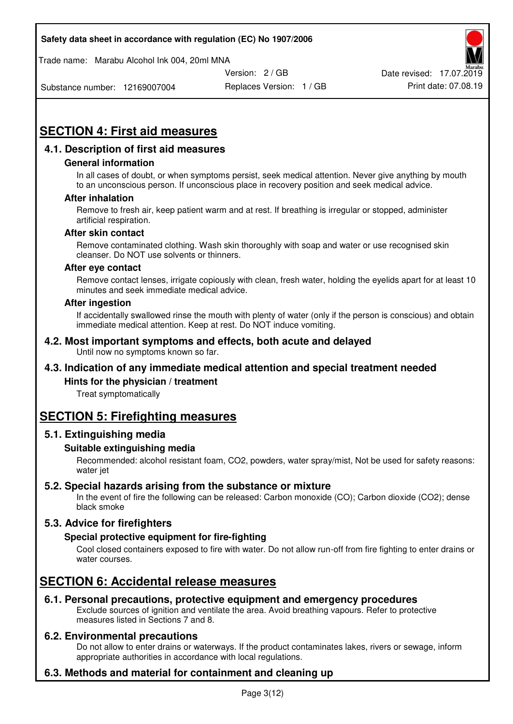Trade name: Marabu Alcohol Ink 004, 20ml MNA



Date revised: 17.07.2019

Substance number: 12169007004

Replaces Version: 1 / GB Print date: 07.08.19

# **SECTION 4: First aid measures**

# **4.1. Description of first aid measures**

## **General information**

In all cases of doubt, or when symptoms persist, seek medical attention. Never give anything by mouth to an unconscious person. If unconscious place in recovery position and seek medical advice.

#### **After inhalation**

Remove to fresh air, keep patient warm and at rest. If breathing is irregular or stopped, administer artificial respiration.

#### **After skin contact**

Remove contaminated clothing. Wash skin thoroughly with soap and water or use recognised skin cleanser. Do NOT use solvents or thinners.

#### **After eye contact**

Remove contact lenses, irrigate copiously with clean, fresh water, holding the eyelids apart for at least 10 minutes and seek immediate medical advice.

#### **After ingestion**

If accidentally swallowed rinse the mouth with plenty of water (only if the person is conscious) and obtain immediate medical attention. Keep at rest. Do NOT induce vomiting.

#### **4.2. Most important symptoms and effects, both acute and delayed**  Until now no symptoms known so far.

# **4.3. Indication of any immediate medical attention and special treatment needed**

## **Hints for the physician / treatment**

Treat symptomatically

# **SECTION 5: Firefighting measures**

## **5.1. Extinguishing media**

## **Suitable extinguishing media**

Recommended: alcohol resistant foam, CO2, powders, water spray/mist, Not be used for safety reasons: water jet

## **5.2. Special hazards arising from the substance or mixture**

In the event of fire the following can be released: Carbon monoxide (CO); Carbon dioxide (CO2); dense black smoke

# **5.3. Advice for firefighters**

## **Special protective equipment for fire-fighting**

Cool closed containers exposed to fire with water. Do not allow run-off from fire fighting to enter drains or water courses.

# **SECTION 6: Accidental release measures**

## **6.1. Personal precautions, protective equipment and emergency procedures**

Exclude sources of ignition and ventilate the area. Avoid breathing vapours. Refer to protective measures listed in Sections 7 and 8.

## **6.2. Environmental precautions**

Do not allow to enter drains or waterways. If the product contaminates lakes, rivers or sewage, inform appropriate authorities in accordance with local regulations.

# **6.3. Methods and material for containment and cleaning up**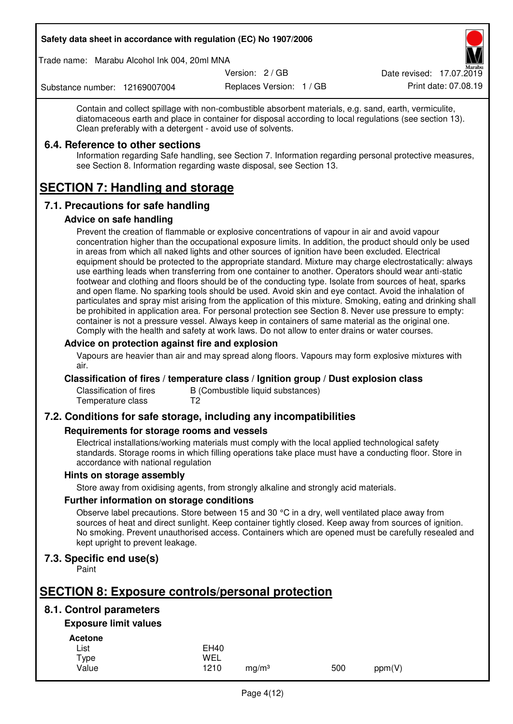Trade name: Marabu Alcohol Ink 004, 20ml MNA

Version: 2 / GB

Replaces Version: 1 / GB Print date: 07.08.19 Date revised: 17.07.2019

Substance number: 12169007004

Contain and collect spillage with non-combustible absorbent materials, e.g. sand, earth, vermiculite, diatomaceous earth and place in container for disposal according to local regulations (see section 13). Clean preferably with a detergent - avoid use of solvents.

## **6.4. Reference to other sections**

Information regarding Safe handling, see Section 7. Information regarding personal protective measures, see Section 8. Information regarding waste disposal, see Section 13.

# **SECTION 7: Handling and storage**

# **7.1. Precautions for safe handling**

## **Advice on safe handling**

Prevent the creation of flammable or explosive concentrations of vapour in air and avoid vapour concentration higher than the occupational exposure limits. In addition, the product should only be used in areas from which all naked lights and other sources of ignition have been excluded. Electrical equipment should be protected to the appropriate standard. Mixture may charge electrostatically: always use earthing leads when transferring from one container to another. Operators should wear anti-static footwear and clothing and floors should be of the conducting type. Isolate from sources of heat, sparks and open flame. No sparking tools should be used. Avoid skin and eye contact. Avoid the inhalation of particulates and spray mist arising from the application of this mixture. Smoking, eating and drinking shall be prohibited in application area. For personal protection see Section 8. Never use pressure to empty: container is not a pressure vessel. Always keep in containers of same material as the original one. Comply with the health and safety at work laws. Do not allow to enter drains or water courses.

## **Advice on protection against fire and explosion**

Vapours are heavier than air and may spread along floors. Vapours may form explosive mixtures with air.

## **Classification of fires / temperature class / Ignition group / Dust explosion class**

Classification of fires B (Combustible liquid substances)<br>Temperature class T2 Temperature class

# **7.2. Conditions for safe storage, including any incompatibilities**

## **Requirements for storage rooms and vessels**

Electrical installations/working materials must comply with the local applied technological safety standards. Storage rooms in which filling operations take place must have a conducting floor. Store in accordance with national regulation

## **Hints on storage assembly**

Store away from oxidising agents, from strongly alkaline and strongly acid materials.

## **Further information on storage conditions**

Observe label precautions. Store between 15 and 30 °C in a dry, well ventilated place away from sources of heat and direct sunlight. Keep container tightly closed. Keep away from sources of ignition. No smoking. Prevent unauthorised access. Containers which are opened must be carefully resealed and kept upright to prevent leakage.

# **7.3. Specific end use(s)**

Paint

# **SECTION 8: Exposure controls/personal protection**

# **8.1. Control parameters**

# **Exposure limit values**

**Acetone** 

| List  | <b>EH40</b> |                   |     |        |
|-------|-------------|-------------------|-----|--------|
| Type  | WEL         |                   |     |        |
| Value | 1210        | mg/m <sup>3</sup> | 500 | ppm(V) |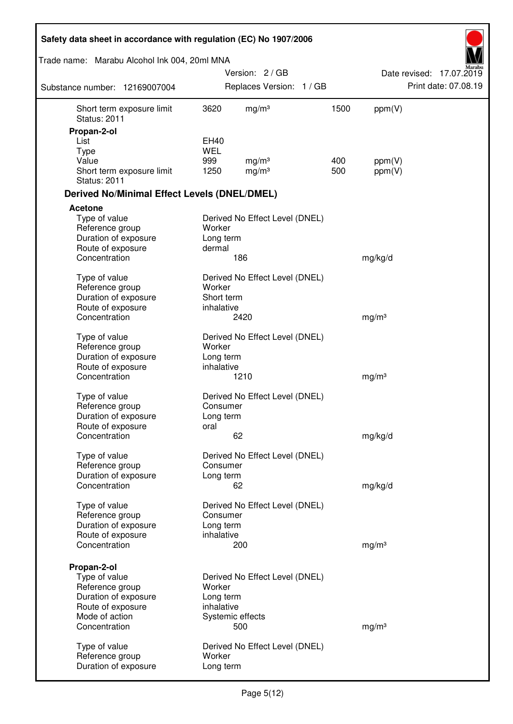| Safety data sheet in accordance with regulation (EC) No 1907/2006 |             |                                        |            |                   |                          |
|-------------------------------------------------------------------|-------------|----------------------------------------|------------|-------------------|--------------------------|
| Trade name: Marabu Alcohol Ink 004, 20ml MNA                      |             |                                        |            |                   |                          |
|                                                                   |             | Version: 2/GB                          |            |                   | Date revised: 17.07.2019 |
| Substance number: 12169007004                                     |             | Replaces Version: 1 / GB               |            |                   | Print date: 07.08.19     |
| Short term exposure limit<br><b>Status: 2011</b>                  | 3620        | mg/m <sup>3</sup>                      | 1500       | ppm(V)            |                          |
| Propan-2-ol                                                       |             |                                        |            |                   |                          |
| List                                                              | EH40        |                                        |            |                   |                          |
| <b>Type</b>                                                       | <b>WEL</b>  |                                        |            |                   |                          |
| Value<br>Short term exposure limit<br><b>Status: 2011</b>         | 999<br>1250 | mg/m <sup>3</sup><br>mg/m <sup>3</sup> | 400<br>500 | ppm(V)<br>ppm(V)  |                          |
| <b>Derived No/Minimal Effect Levels (DNEL/DMEL)</b>               |             |                                        |            |                   |                          |
| Acetone                                                           |             |                                        |            |                   |                          |
| Type of value                                                     |             | Derived No Effect Level (DNEL)         |            |                   |                          |
| Reference group                                                   | Worker      |                                        |            |                   |                          |
| Duration of exposure                                              | Long term   |                                        |            |                   |                          |
| Route of exposure                                                 | dermal      |                                        |            |                   |                          |
| Concentration                                                     |             | 186                                    |            | mg/kg/d           |                          |
| Type of value                                                     |             | Derived No Effect Level (DNEL)         |            |                   |                          |
| Reference group                                                   | Worker      |                                        |            |                   |                          |
| Duration of exposure                                              | Short term  |                                        |            |                   |                          |
| Route of exposure                                                 | inhalative  |                                        |            |                   |                          |
| Concentration                                                     |             | 2420                                   |            | mg/m <sup>3</sup> |                          |
| Type of value                                                     |             | Derived No Effect Level (DNEL)         |            |                   |                          |
| Reference group                                                   | Worker      |                                        |            |                   |                          |
| Duration of exposure                                              | Long term   |                                        |            |                   |                          |
| Route of exposure                                                 | inhalative  |                                        |            |                   |                          |
| Concentration                                                     |             | 1210                                   |            | mg/m <sup>3</sup> |                          |
| Type of value                                                     |             | Derived No Effect Level (DNEL)         |            |                   |                          |
| Reference group                                                   | Consumer    |                                        |            |                   |                          |
| Duration of exposure                                              | Long term   |                                        |            |                   |                          |
| Route of exposure                                                 | oral        |                                        |            |                   |                          |
| Concentration                                                     |             | 62                                     |            | mg/kg/d           |                          |
| Type of value                                                     |             | Derived No Effect Level (DNEL)         |            |                   |                          |
| Reference group                                                   | Consumer    |                                        |            |                   |                          |
| Duration of exposure                                              | Long term   |                                        |            |                   |                          |
| Concentration                                                     |             | 62                                     |            | mg/kg/d           |                          |
| Type of value                                                     |             | Derived No Effect Level (DNEL)         |            |                   |                          |
| Reference group                                                   | Consumer    |                                        |            |                   |                          |
| Duration of exposure                                              | Long term   |                                        |            |                   |                          |
| Route of exposure                                                 | inhalative  |                                        |            |                   |                          |
| Concentration                                                     |             | 200                                    |            | mg/m <sup>3</sup> |                          |
|                                                                   |             |                                        |            |                   |                          |
| Propan-2-ol                                                       |             |                                        |            |                   |                          |
| Type of value<br>Reference group                                  | Worker      | Derived No Effect Level (DNEL)         |            |                   |                          |
| Duration of exposure                                              | Long term   |                                        |            |                   |                          |
| Route of exposure                                                 | inhalative  |                                        |            |                   |                          |
| Mode of action                                                    |             | Systemic effects                       |            |                   |                          |
| Concentration                                                     |             | 500                                    |            | mg/m <sup>3</sup> |                          |
|                                                                   |             |                                        |            |                   |                          |
| Type of value<br>Reference group                                  | Worker      | Derived No Effect Level (DNEL)         |            |                   |                          |
| Duration of exposure                                              | Long term   |                                        |            |                   |                          |
|                                                                   |             |                                        |            |                   |                          |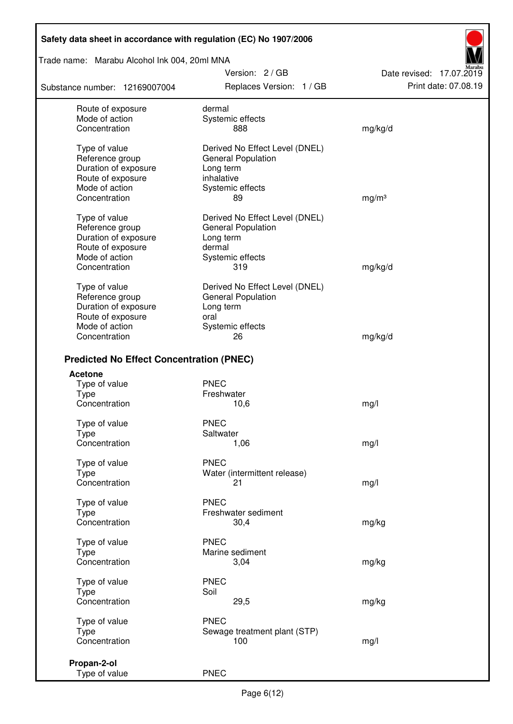Trade name: Marabu Alcohol Ink 004, 20ml MNA

Substance number: 12169007004

Version: 2 / GB Replaces Version: 1 / GB Print date: 07.08.19

Date revised: 17.07.2019

| Route of exposure                               | dermal                              |                   |
|-------------------------------------------------|-------------------------------------|-------------------|
| Mode of action                                  | Systemic effects                    |                   |
| Concentration                                   | 888                                 | mg/kg/d           |
| Type of value                                   | Derived No Effect Level (DNEL)      |                   |
| Reference group                                 | General Population                  |                   |
| Duration of exposure                            | Long term                           |                   |
| Route of exposure                               | inhalative                          |                   |
| Mode of action                                  | Systemic effects                    |                   |
| Concentration                                   | 89                                  | mg/m <sup>3</sup> |
| Type of value                                   | Derived No Effect Level (DNEL)      |                   |
| Reference group                                 | General Population                  |                   |
| Duration of exposure                            | Long term                           |                   |
| Route of exposure                               | dermal                              |                   |
| Mode of action                                  | Systemic effects                    |                   |
| Concentration                                   | 319                                 | mg/kg/d           |
|                                                 |                                     |                   |
| Type of value                                   | Derived No Effect Level (DNEL)      |                   |
| Reference group                                 | <b>General Population</b>           |                   |
| Duration of exposure                            | Long term                           |                   |
| Route of exposure                               | oral                                |                   |
| Mode of action                                  | Systemic effects                    |                   |
| Concentration                                   | 26                                  | mg/kg/d           |
| <b>Predicted No Effect Concentration (PNEC)</b> |                                     |                   |
| <b>Acetone</b>                                  |                                     |                   |
| Type of value                                   | <b>PNEC</b>                         |                   |
| <b>Type</b>                                     | Freshwater                          |                   |
| Concentration                                   | 10,6                                | mg/l              |
| Type of value                                   | <b>PNEC</b>                         |                   |
| <b>Type</b>                                     | Saltwater                           |                   |
| Concentration                                   | 1,06                                | mg/l              |
| Type of value                                   | <b>PNEC</b>                         |                   |
| <b>Type</b>                                     | Water (intermittent release)        |                   |
| Concentration                                   | 21                                  | mg/l              |
|                                                 |                                     |                   |
| Type of value                                   | <b>PNEC</b>                         |                   |
| <b>Type</b>                                     | Freshwater sediment                 |                   |
| Concentration                                   | 30,4                                | mg/kg             |
| Type of value                                   | <b>PNEC</b>                         |                   |
| Type                                            | Marine sediment                     |                   |
| Concentration                                   | 3,04                                | mg/kg             |
| Type of value                                   | <b>PNEC</b>                         |                   |
| Type                                            | Soil                                |                   |
| Concentration                                   | 29,5                                | mg/kg             |
|                                                 | <b>PNEC</b>                         |                   |
| Type of value                                   |                                     |                   |
| <b>Type</b>                                     | Sewage treatment plant (STP)<br>100 |                   |
| Concentration                                   |                                     | mg/l              |
| Propan-2-ol                                     |                                     |                   |
| Type of value                                   | <b>PNEC</b>                         |                   |
|                                                 |                                     |                   |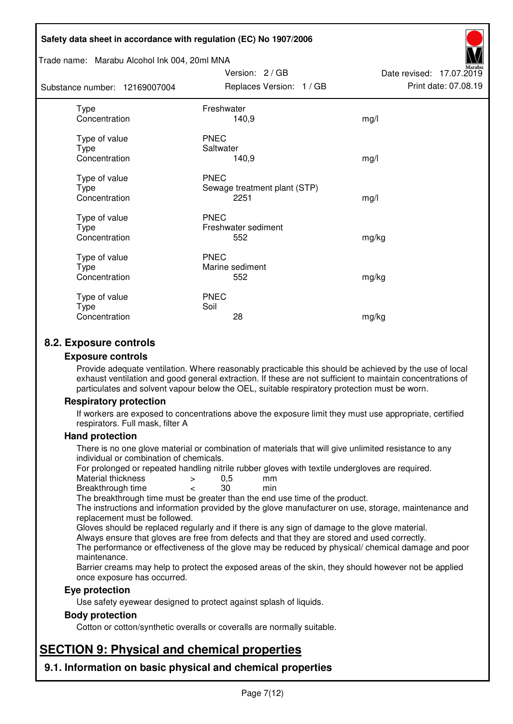#### Trade name: Marabu Alcohol Ink 004, 20ml MNA

| Substance number: 12169007004          | Replaces Version: 1 / GB                            | Print date: 07.08.19 |
|----------------------------------------|-----------------------------------------------------|----------------------|
| <b>Type</b><br>Concentration           | Freshwater<br>140,9                                 | mg/l                 |
| Type of value<br>Type<br>Concentration | <b>PNEC</b><br>Saltwater<br>140,9                   | mg/l                 |
| Type of value<br>Type<br>Concentration | <b>PNEC</b><br>Sewage treatment plant (STP)<br>2251 | mg/l                 |
| Type of value<br>Type<br>Concentration | <b>PNEC</b><br>Freshwater sediment<br>552           | mg/kg                |
| Type of value<br>Type<br>Concentration | <b>PNEC</b><br>Marine sediment<br>552               | mg/kg                |
| Type of value<br>Type<br>Concentration | <b>PNEC</b><br>Soil<br>28                           | mg/kg                |

Version: 2 / GB

Date revised: 17.07.2019

# **8.2. Exposure controls**

#### **Exposure controls**

Provide adequate ventilation. Where reasonably practicable this should be achieved by the use of local exhaust ventilation and good general extraction. If these are not sufficient to maintain concentrations of particulates and solvent vapour below the OEL, suitable respiratory protection must be worn.

## **Respiratory protection**

If workers are exposed to concentrations above the exposure limit they must use appropriate, certified respirators. Full mask, filter A

#### **Hand protection**

There is no one glove material or combination of materials that will give unlimited resistance to any individual or combination of chemicals.

For prolonged or repeated handling nitrile rubber gloves with textile undergloves are required.<br>Material thickness  $\geq 0.5$  mm

- Material thickness  $\begin{array}{ccc} 0.5 \\ -8.5 \end{array}$  Material thickness  $\begin{array}{ccc} 0.5 \\ -8.5 \end{array}$
- Breakthrough time < 30 min

The breakthrough time must be greater than the end use time of the product.

The instructions and information provided by the glove manufacturer on use, storage, maintenance and replacement must be followed.

Gloves should be replaced regularly and if there is any sign of damage to the glove material.

Always ensure that gloves are free from defects and that they are stored and used correctly.

The performance or effectiveness of the glove may be reduced by physical/ chemical damage and poor maintenance.

Barrier creams may help to protect the exposed areas of the skin, they should however not be applied once exposure has occurred.

## **Eye protection**

Use safety eyewear designed to protect against splash of liquids.

## **Body protection**

Cotton or cotton/synthetic overalls or coveralls are normally suitable.

# **SECTION 9: Physical and chemical properties**

**9.1. Information on basic physical and chemical properties**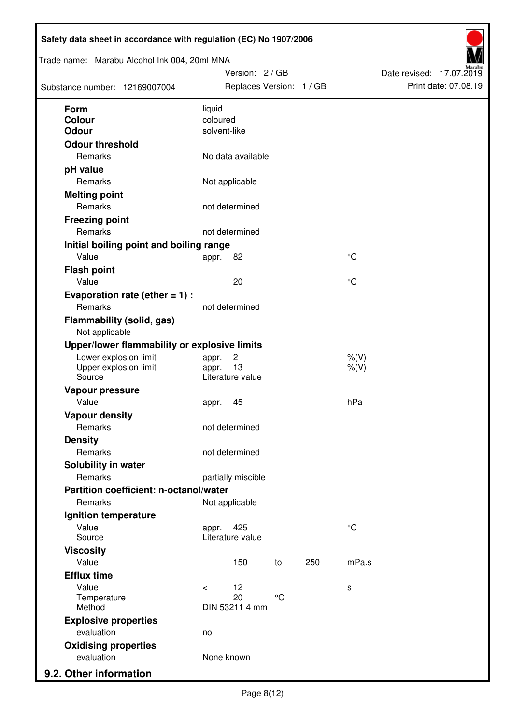| Trade name: Marabu Alcohol Ink 004, 20ml MNA<br>Substance number: 12169007004 |                          | Version: 2 / GB<br>Replaces Version: 1 / GB |                 |     |                      | Date revised: 17.07.2019 | Print date: 07.08.19 |
|-------------------------------------------------------------------------------|--------------------------|---------------------------------------------|-----------------|-----|----------------------|--------------------------|----------------------|
| <b>Form</b>                                                                   | liquid                   |                                             |                 |     |                      |                          |                      |
| Colour<br><b>Odour</b>                                                        | coloured<br>solvent-like |                                             |                 |     |                      |                          |                      |
| <b>Odour threshold</b>                                                        |                          |                                             |                 |     |                      |                          |                      |
| Remarks                                                                       |                          | No data available                           |                 |     |                      |                          |                      |
| pH value                                                                      |                          |                                             |                 |     |                      |                          |                      |
| Remarks                                                                       |                          | Not applicable                              |                 |     |                      |                          |                      |
| <b>Melting point</b>                                                          |                          |                                             |                 |     |                      |                          |                      |
| Remarks                                                                       |                          | not determined                              |                 |     |                      |                          |                      |
| <b>Freezing point</b>                                                         |                          |                                             |                 |     |                      |                          |                      |
| Remarks                                                                       |                          | not determined                              |                 |     |                      |                          |                      |
| Initial boiling point and boiling range                                       |                          |                                             |                 |     |                      |                          |                      |
| Value                                                                         | appr.                    | 82                                          |                 |     | $\rm ^{\circ}C$      |                          |                      |
| <b>Flash point</b>                                                            |                          |                                             |                 |     |                      |                          |                      |
| Value                                                                         |                          | 20                                          |                 |     | °C                   |                          |                      |
| Evaporation rate (ether $= 1$ ) :                                             |                          |                                             |                 |     |                      |                          |                      |
| Remarks                                                                       |                          | not determined                              |                 |     |                      |                          |                      |
| <b>Flammability (solid, gas)</b><br>Not applicable                            |                          |                                             |                 |     |                      |                          |                      |
| Upper/lower flammability or explosive limits                                  |                          |                                             |                 |     |                      |                          |                      |
| Lower explosion limit<br>Upper explosion limit<br>Source                      | appr.<br>appr.           | $\overline{c}$<br>13<br>Literature value    |                 |     | $%$ (V)<br>$%$ $(V)$ |                          |                      |
| Vapour pressure                                                               |                          |                                             |                 |     |                      |                          |                      |
| Value                                                                         | appr.                    | 45                                          |                 |     | hPa                  |                          |                      |
| <b>Vapour density</b>                                                         |                          |                                             |                 |     |                      |                          |                      |
| Remarks                                                                       |                          | not determined                              |                 |     |                      |                          |                      |
| <b>Density</b>                                                                |                          |                                             |                 |     |                      |                          |                      |
| Remarks                                                                       |                          | not determined                              |                 |     |                      |                          |                      |
| Solubility in water                                                           |                          |                                             |                 |     |                      |                          |                      |
| Remarks                                                                       |                          | partially miscible                          |                 |     |                      |                          |                      |
| Partition coefficient: n-octanol/water                                        |                          |                                             |                 |     |                      |                          |                      |
| Remarks                                                                       |                          | Not applicable                              |                 |     |                      |                          |                      |
| Ignition temperature                                                          |                          |                                             |                 |     |                      |                          |                      |
| Value<br>Source                                                               | appr.                    | 425<br>Literature value                     |                 |     | $^{\circ}C$          |                          |                      |
| <b>Viscosity</b>                                                              |                          |                                             |                 |     |                      |                          |                      |
| Value                                                                         |                          | 150                                         | to              | 250 | mPa.s                |                          |                      |
| <b>Efflux time</b>                                                            |                          |                                             |                 |     |                      |                          |                      |
| Value                                                                         | $\prec$                  | 12                                          |                 |     | s                    |                          |                      |
| Temperature<br>Method                                                         |                          | 20<br>DIN 53211 4 mm                        | $\rm ^{\circ}C$ |     |                      |                          |                      |
| <b>Explosive properties</b>                                                   |                          |                                             |                 |     |                      |                          |                      |
| evaluation                                                                    | no                       |                                             |                 |     |                      |                          |                      |
| <b>Oxidising properties</b>                                                   |                          |                                             |                 |     |                      |                          |                      |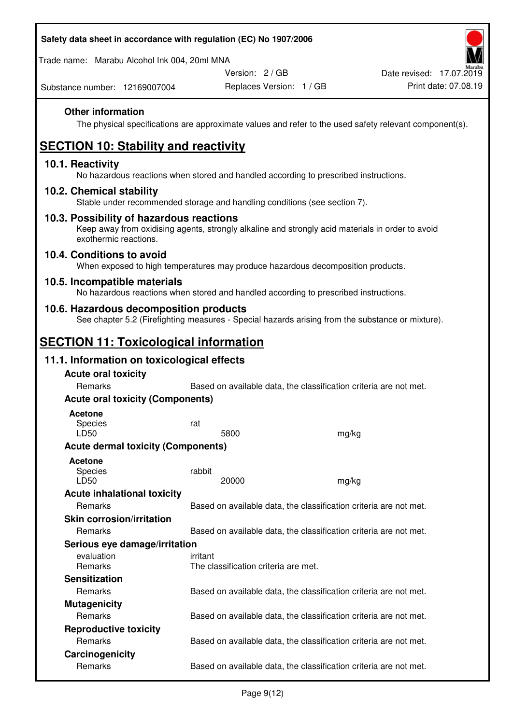Trade name: Marabu Alcohol Ink 004, 20ml MNA

Version: 2 / GB

Substance number: 12169007004

# **Other information**

The physical specifications are approximate values and refer to the used safety relevant component(s).

# **SECTION 10: Stability and reactivity**

## **10.1. Reactivity**

No hazardous reactions when stored and handled according to prescribed instructions.

## **10.2. Chemical stability**

Stable under recommended storage and handling conditions (see section 7).

## **10.3. Possibility of hazardous reactions**

Keep away from oxidising agents, strongly alkaline and strongly acid materials in order to avoid exothermic reactions.

## **10.4. Conditions to avoid**

When exposed to high temperatures may produce hazardous decomposition products.

## **10.5. Incompatible materials**

No hazardous reactions when stored and handled according to prescribed instructions.

## **10.6. Hazardous decomposition products**

See chapter 5.2 (Firefighting measures - Special hazards arising from the substance or mixture).

# **SECTION 11: Toxicological information**

## **11.1. Information on toxicological effects**

| <b>Acute oral toxicity</b>                |                                                                   |                                      |                                                                   |  |  |
|-------------------------------------------|-------------------------------------------------------------------|--------------------------------------|-------------------------------------------------------------------|--|--|
| Remarks                                   | Based on available data, the classification criteria are not met. |                                      |                                                                   |  |  |
| <b>Acute oral toxicity (Components)</b>   |                                                                   |                                      |                                                                   |  |  |
| <b>Acetone</b><br><b>Species</b><br>LD50  | rat                                                               | 5800                                 | mg/kg                                                             |  |  |
| <b>Acute dermal toxicity (Components)</b> |                                                                   |                                      |                                                                   |  |  |
| <b>Acetone</b><br>Species<br>LD50         | rabbit                                                            | 20000                                | mg/kg                                                             |  |  |
| <b>Acute inhalational toxicity</b>        |                                                                   |                                      |                                                                   |  |  |
| <b>Remarks</b>                            |                                                                   |                                      | Based on available data, the classification criteria are not met. |  |  |
| <b>Skin corrosion/irritation</b>          |                                                                   |                                      |                                                                   |  |  |
| Remarks                                   |                                                                   |                                      | Based on available data, the classification criteria are not met. |  |  |
| Serious eye damage/irritation             |                                                                   |                                      |                                                                   |  |  |
| evaluation<br>Remarks                     | irritant                                                          | The classification criteria are met. |                                                                   |  |  |
| <b>Sensitization</b>                      |                                                                   |                                      |                                                                   |  |  |
| Remarks                                   |                                                                   |                                      | Based on available data, the classification criteria are not met. |  |  |
| <b>Mutagenicity</b>                       |                                                                   |                                      |                                                                   |  |  |
| <b>Remarks</b>                            |                                                                   |                                      | Based on available data, the classification criteria are not met. |  |  |
| <b>Reproductive toxicity</b>              |                                                                   |                                      |                                                                   |  |  |
| Remarks                                   |                                                                   |                                      | Based on available data, the classification criteria are not met. |  |  |
| Carcinogenicity                           |                                                                   |                                      |                                                                   |  |  |
| Remarks                                   |                                                                   |                                      | Based on available data, the classification criteria are not met. |  |  |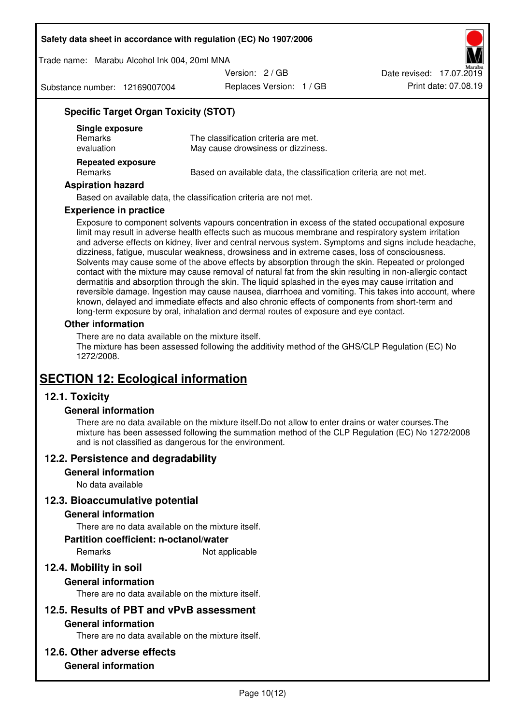Trade name: Marabu Alcohol Ink 004, 20ml MNA

Version: 2 / GB

Substance number: 12169007004

Replaces Version: 1 / GB Print date: 07.08.19 Date revised: 17.07.2019

# **Specific Target Organ Toxicity (STOT)**

| Single exposure<br><b>Remarks</b><br>evaluation | The classification criteria are met.<br>May cause drowsiness or dizziness. |
|-------------------------------------------------|----------------------------------------------------------------------------|
| <b>Repeated exposure</b><br><b>Remarks</b>      | Based on available data, the classification criteria are not met.          |

#### **Aspiration hazard**

Based on available data, the classification criteria are not met.

#### **Experience in practice**

Exposure to component solvents vapours concentration in excess of the stated occupational exposure limit may result in adverse health effects such as mucous membrane and respiratory system irritation and adverse effects on kidney, liver and central nervous system. Symptoms and signs include headache, dizziness, fatigue, muscular weakness, drowsiness and in extreme cases, loss of consciousness. Solvents may cause some of the above effects by absorption through the skin. Repeated or prolonged contact with the mixture may cause removal of natural fat from the skin resulting in non-allergic contact dermatitis and absorption through the skin. The liquid splashed in the eyes may cause irritation and reversible damage. Ingestion may cause nausea, diarrhoea and vomiting. This takes into account, where known, delayed and immediate effects and also chronic effects of components from short-term and long-term exposure by oral, inhalation and dermal routes of exposure and eye contact.

## **Other information**

There are no data available on the mixture itself. The mixture has been assessed following the additivity method of the GHS/CLP Regulation (EC) No 1272/2008.

# **SECTION 12: Ecological information**

# **12.1. Toxicity**

## **General information**

There are no data available on the mixture itself.Do not allow to enter drains or water courses.The mixture has been assessed following the summation method of the CLP Regulation (EC) No 1272/2008 and is not classified as dangerous for the environment.

## **12.2. Persistence and degradability**

#### **General information**

No data available

## **12.3. Bioaccumulative potential**

#### **General information**

There are no data available on the mixture itself.

#### **Partition coefficient: n-octanol/water**

Remarks Not applicable

# **12.4. Mobility in soil**

## **General information**

There are no data available on the mixture itself.

## **12.5. Results of PBT and vPvB assessment**

## **General information**

There are no data available on the mixture itself.

## **12.6. Other adverse effects**

## **General information**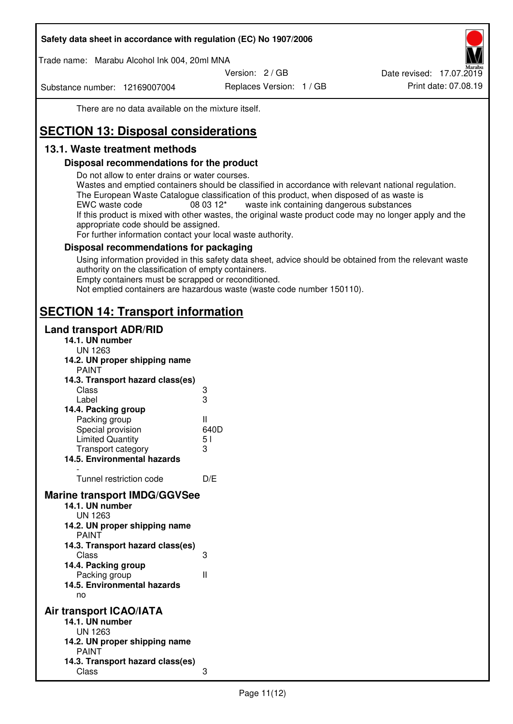Trade name: Marabu Alcohol Ink 004, 20ml MNA

Version: 2 / GB

Substance number: 12169007004

Replaces Version: 1 / GB Print date: 07.08.19 Date revised: 17.07.2019

There are no data available on the mixture itself.

# **SECTION 13: Disposal considerations**

# **13.1. Waste treatment methods**

## **Disposal recommendations for the product**

Do not allow to enter drains or water courses.

Wastes and emptied containers should be classified in accordance with relevant national regulation. The European Waste Catalogue classification of this product, when disposed of as waste is EWC waste code  $08\,03\,12^*$  waste ink containing dangerous substances If this product is mixed with other wastes, the original waste product code may no longer apply and the appropriate code should be assigned.

For further information contact your local waste authority.

## **Disposal recommendations for packaging**

Using information provided in this safety data sheet, advice should be obtained from the relevant waste authority on the classification of empty containers. Empty containers must be scrapped or reconditioned.

Not emptied containers are hazardous waste (waste code number 150110).

# **SECTION 14: Transport information**

## **Land transport ADR/RID**

| 14.1. UN number<br><b>UN 1263</b>                                                                                                                                                                                                            |                   |
|----------------------------------------------------------------------------------------------------------------------------------------------------------------------------------------------------------------------------------------------|-------------------|
| 14.2. UN proper shipping name                                                                                                                                                                                                                |                   |
| <b>PAINT</b>                                                                                                                                                                                                                                 |                   |
| 14.3. Transport hazard class(es)                                                                                                                                                                                                             |                   |
| Class                                                                                                                                                                                                                                        |                   |
| Label                                                                                                                                                                                                                                        | ვ<br>ვ            |
| 14.4. Packing group                                                                                                                                                                                                                          |                   |
| Packing group                                                                                                                                                                                                                                | Ш                 |
| Special provision                                                                                                                                                                                                                            | 640D              |
| <b>Limited Quantity</b>                                                                                                                                                                                                                      | 5 <sub>1</sub>    |
| Transport category                                                                                                                                                                                                                           | 3                 |
| 14.5. Environmental hazards                                                                                                                                                                                                                  |                   |
| Tunnel restriction code                                                                                                                                                                                                                      | D/E               |
|                                                                                                                                                                                                                                              |                   |
| <b>Marine transport IMDG/GGVSee</b><br>14.1. UN number<br>UN 1263<br>14.2. UN proper shipping name<br><b>PAINT</b><br>14.3. Transport hazard class(es)<br>Class<br>14.4. Packing group<br>Packing group<br>14.5. Environmental hazards<br>no | 3<br>$\mathbf{I}$ |
| Air transport ICAO/IATA                                                                                                                                                                                                                      |                   |
| 14.1. UN number                                                                                                                                                                                                                              |                   |
| UN 1263                                                                                                                                                                                                                                      |                   |
| 14.2. UN proper shipping name<br><b>PAINT</b>                                                                                                                                                                                                |                   |
| 14.3. Transport hazard class(es)                                                                                                                                                                                                             |                   |
| Class                                                                                                                                                                                                                                        | 3                 |
|                                                                                                                                                                                                                                              |                   |